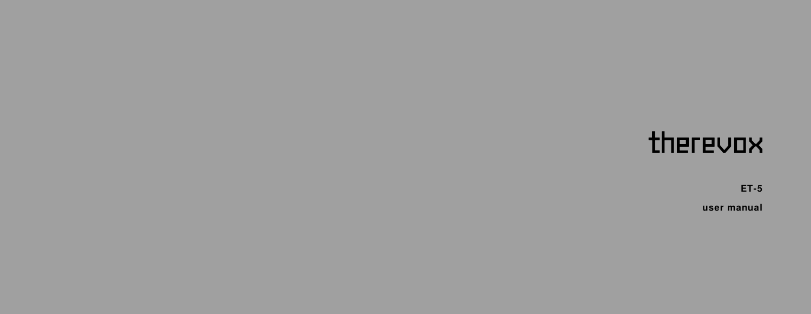# therevox

**ET-5**

**user manual**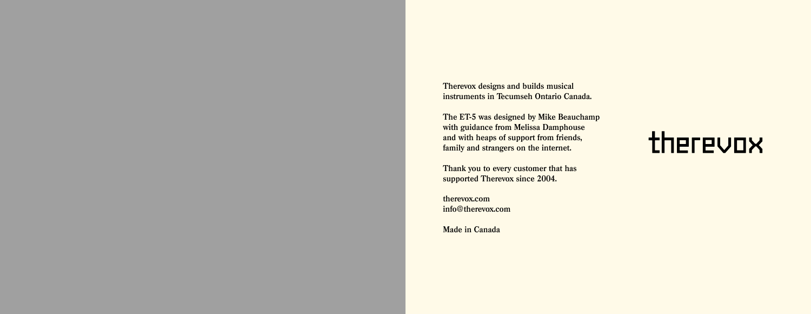**Therevox designs and builds musical instruments in Tecumseh Ontario Canada.**

**The ET-5 was designed by Mike Beauchamp with guidance from Melissa Damphouse and with heaps of support from friends, family and strangers on the internet.** 

**Thank you to every customer that has supported Therevox since 2004.**

**therevox.com info@therevox.com**

**Made in Canada**

# therevox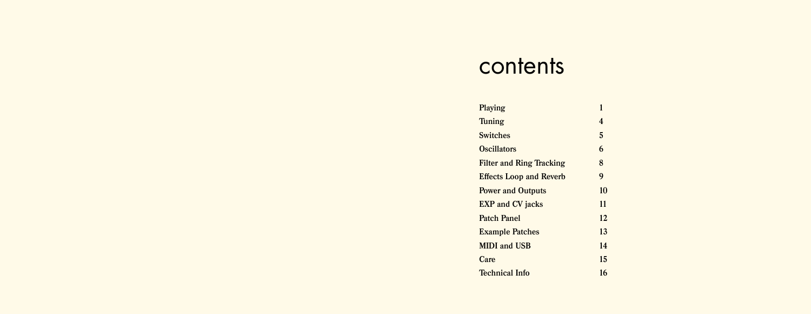#### contents

| Playing                         | 1  |
|---------------------------------|----|
| Tuning                          | 4  |
| <b>Switches</b>                 | 5  |
| <b>Oscillators</b>              | 6  |
| <b>Filter and Ring Tracking</b> | 8  |
| <b>Effects Loop and Reverb</b>  | 9  |
| <b>Power and Outputs</b>        | 10 |
| <b>EXP</b> and <b>CV</b> jacks  | 11 |
| Patch Panel                     | 12 |
| <b>Example Patches</b>          | 13 |
| <b>MIDI</b> and USB             | 14 |
| Care                            | 15 |
| <b>Technical Info</b>           | 16 |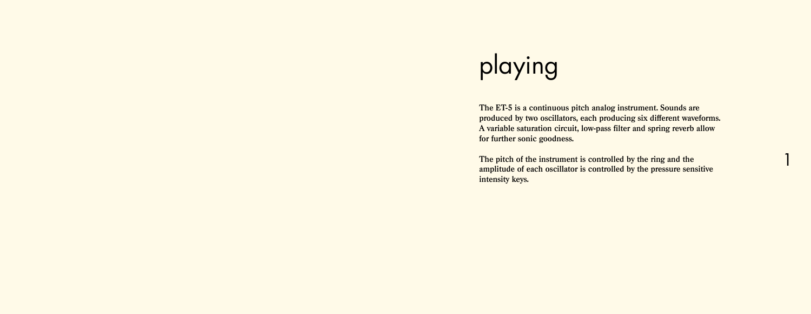# playing

**The ET-5 is a continuous pitch analog instrument. Sounds are produced by two oscillators, each producing six different waveforms. A variable saturation circuit, low-pass filter and spring reverb allow for further sonic goodness.** 

**The pitch of the instrument is controlled by the ring and the amplitude of each oscillator is controlled by the pressure sensitive intensity keys.**

1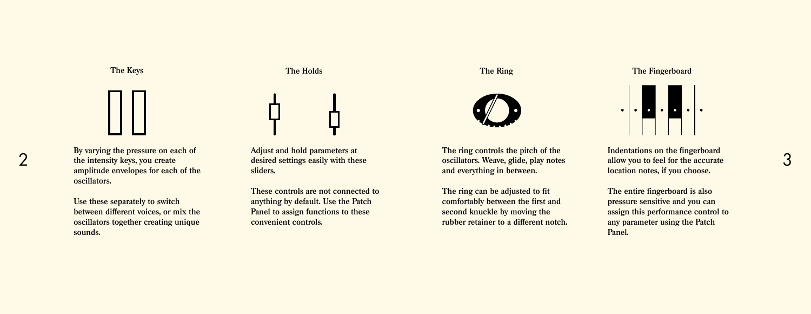

2 **By varying the pressure on each of the intensity keys, you create amplitude envelopes for each of the oscillators.**

> **Use these separately to switch between different voices, or mix the oscillators together creating unique sounds.**

**Adjust and hold parameters at desired settings easily with these sliders.** 

**The Holds**

**These controls are not connected to anything by default. Use the Patch Panel to assign functions to these convenient controls.**

**The Keys The Ring**



**The ring controls the pitch of the oscillators. Weave, glide, play notes and everything in between.**

**The ring can be adjusted to fit comfortably between the first and second knuckle by moving the rubber retainer to a different notch.** **The Fingerboard**



**Indentations on the fingerboard allow you to feel for the accurate location notes, if you choose.**

3

**The entire fingerboard is also pressure sensitive and you can assign this performance control to any parameter using the Patch Panel.**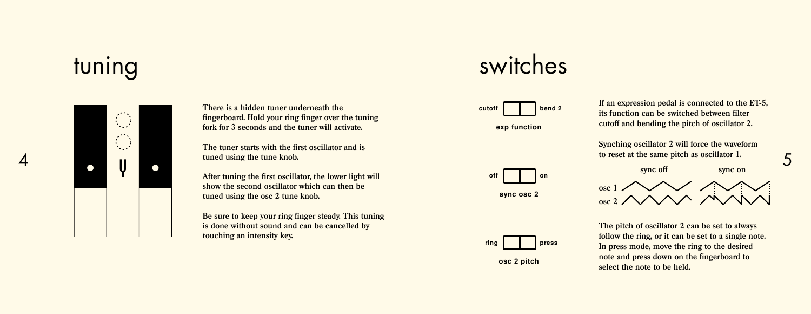### tuning



**There is a hidden tuner underneath the fingerboard. Hold your ring finger over the tuning fork for 3 seconds and the tuner will activate.**

**The tuner starts with the first oscillator and is tuned using the tune knob.** 

**After tuning the first oscillator, the lower light will show the second oscillator which can then be tuned using the osc 2 tune knob.**

**Be sure to keep your ring finger steady. This tuning is done without sound and can be cancelled by touching an intensity key.**

#### switches



**exp function**

**off on sync osc 2**

**If an expression pedal is connected to the ET-5, its function can be switched between filter cutoff and bending the pitch of oscillator 2.**



5



**The pitch of oscillator 2 can be set to always follow the ring, or it can be set to a single note. In press mode, move the ring to the desired note and press down on the fingerboard to select the note to be held.**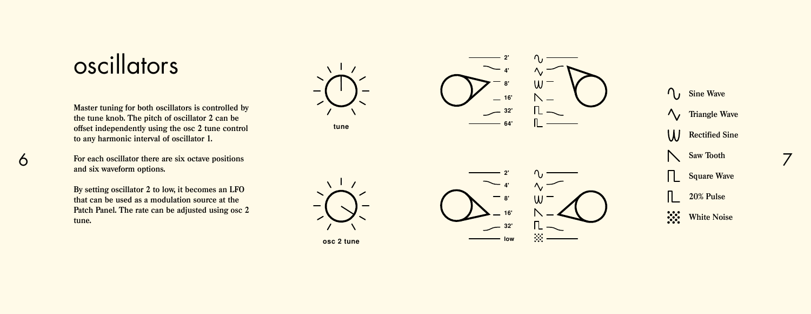### **oscillators**

**Master tuning for both oscillators is controlled by the tune knob. The pitch of oscillator 2 can be offset independently using the osc 2 tune control to any harmonic interval of oscillator 1.**

**For each oscillator there are six octave positions and six waveform options.** 

**By setting oscillator 2 to low, it becomes an LFO that can be used as a modulation source at the Patch Panel. The rate can be adjusted using osc 2 tune.** 











**C**<sub>I</sub> Sine Wave  $\bigwedge$  Triangle Wave **Rectified Sine Saw Tooth**  $\mathsf{L}$ **Square Wave 20% Pulse White Noise** 

7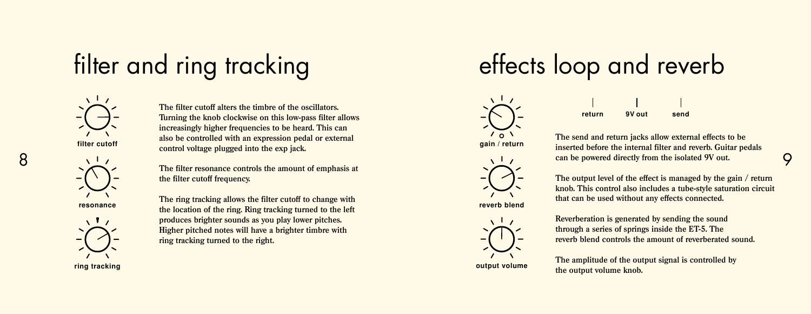# filter and ring tracking



**filter cutoff**



8

**Turning the knob clockwise on this low-pass filter allows increasingly higher frequencies to be heard. This can also be controlled with an expression pedal or external control voltage plugged into the exp jack.**

**The filter cutoff alters the timbre of the oscillators.** 

**The filter resonance controls the amount of emphasis at the filter cutoff frequency.**



**The ring tracking allows the filter cutoff to change with the conduct of the ring in the ring in the ring. Ring tracking turned to the left reverb reverb** blend **produces brighter sounds as you play lower pitches. Higher pitched notes will have a brighter timbre with ring tracking turned to the right.**

**ring tracking**

## effects loop and reverb





**gain / return**





**output volume**

**The send and return jacks allow external effects to be inserted before the internal filter and reverb. Guitar pedals can be powered directly from the isolated 9V out.**

**The output level of the effect is managed by the gain / return knob. This control also includes a tube-style saturation circuit that can be used without any effects connected.** 

**Reverberation is generated by sending the sound through a series of springs inside the ET-5. The reverb blend controls the amount of reverberated sound.**

**The amplitude of the output signal is controlled by the output volume knob.**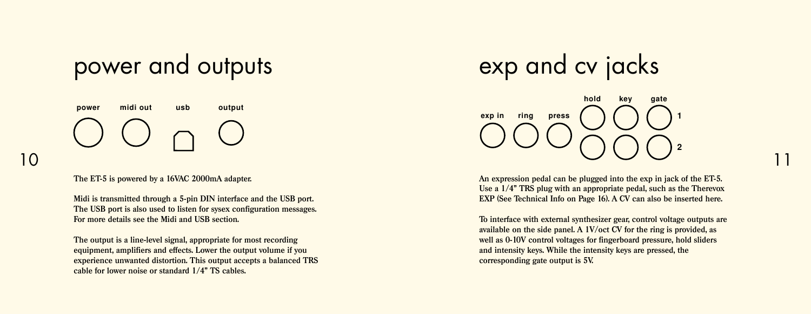### power and outputs



**The ET-5 is powered by a 16VAC 2000mA adapter.** 

**Midi is transmitted through a 5-pin DIN interface and the USB port. The USB port is also used to listen for sysex configuration messages. For more details see the Midi and USB section.**

**The output is a line-level signal, appropriate for most recording equipment, amplifiers and effects. Lower the output volume if you experience unwanted distortion. This output accepts a balanced TRS cable for lower noise or standard 1/4" TS cables.**

## exp and cv jacks

**exp in ring key gate 1 2 press hold**

**An expression pedal can be plugged into the exp in jack of the ET-5. Use a 1/4" TRS plug with an appropriate pedal, such as the Therevox EXP (See Technical Info on Page 16). A CV can also be inserted here.**

11

**To interface with external synthesizer gear, control voltage outputs are available on the side panel. A 1V/oct CV for the ring is provided, as well as 0-10V control voltages for fingerboard pressure, hold sliders and intensity keys. While the intensity keys are pressed, the corresponding gate output is 5V.**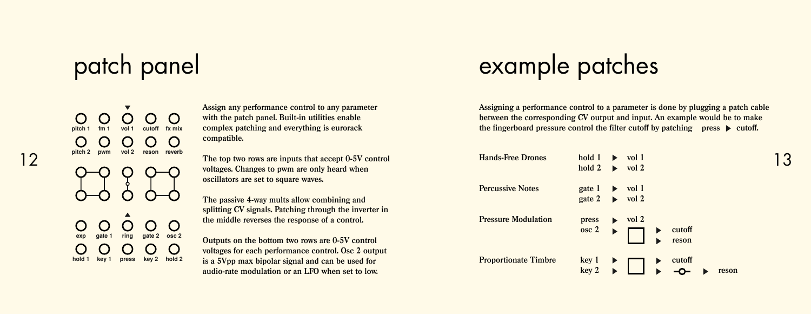# patch panel

**pitch 1 fm 1 vol 1 cutoff fx mix** ◯ reson **exp gate 1 ring gate 2 osc 2** hold 2

**Assign any performance control to any parameter with the patch panel. Built-in utilities enable complex patching and everything is eurorack compatible.**

# example patches

**Assigning a performance control to a parameter is done by plugging a patch cable between the corresponding CV output and input. An example would be to make**  the fingerboard pressure control the filter cutoff by patching press  $\triangleright$  cutoff.

| 12 | $MUUII \sim WVIII$<br>VULL IGOUIL IGVGIN | The top two rows are inputs that accept 0-5V control   | <b>Hands-Free Drones</b>    | hold 1              | vol 1            |        |       | 3 ا |
|----|------------------------------------------|--------------------------------------------------------|-----------------------------|---------------------|------------------|--------|-------|-----|
|    |                                          | voltages. Changes to pwm are only heard when           |                             | hold 2              | vol <sub>2</sub> |        |       |     |
|    |                                          | oscillators are set to square waves.                   |                             |                     |                  |        |       |     |
|    |                                          |                                                        | <b>Percussive Notes</b>     | gate 1              | vol 1            |        |       |     |
|    |                                          | The passive 4-way mults allow combining and            |                             | gate 2              | vol <sub>2</sub> |        |       |     |
|    |                                          | splitting CV signals. Patching through the inverter in |                             |                     |                  |        |       |     |
|    |                                          | the middle reverses the response of a control.         | <b>Pressure Modulation</b>  | press               | vol 2            |        |       |     |
|    |                                          |                                                        |                             | $\csc 2$            |                  | cutoff |       |     |
|    | qate 2 osc 2<br>qate 1<br>exp<br>ring    | Outputs on the bottom two rows are 0-5V control        |                             |                     |                  | reson  |       |     |
|    |                                          | voltages for each performance control. Osc 2 output    |                             |                     |                  |        |       |     |
|    | press key 2 hold 2<br>hold 1 key 1       | is a 5Vpp max bipolar signal and can be used for       | <b>Proportionate Timbre</b> | $key 1 \rightarrow$ |                  |        |       |     |
|    |                                          | audio-rate modulation or an LFO when set to low.       |                             |                     |                  |        | reson |     |
|    |                                          |                                                        |                             |                     |                  |        |       |     |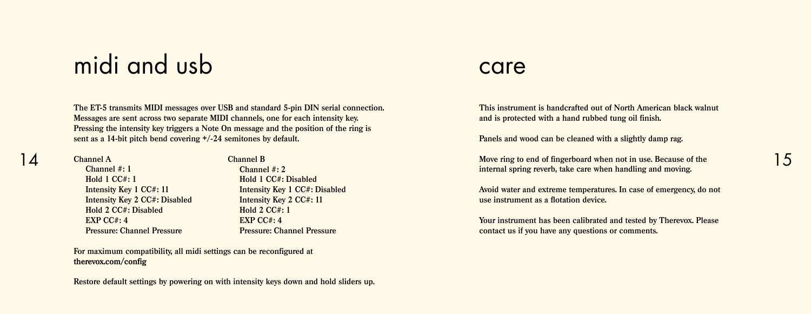### midi and usb

**The ET-5 transmits MIDI messages over USB and standard 5-pin DIN serial connection. Messages are sent across two separate MIDI channels, one for each intensity key. Pressing the intensity key triggers a Note On message and the position of the ring is sent as a 14-bit pitch bend covering +/-24 semitones by default.**

**Channel A Channel #: 1 Hold 1 CC#: 1**

 **EXP CC#: 4**

 **Intensity Key 1 CC#: 11 Intensity Key 2 CC#: Disabled Hold 2 CC#: Disabled Pressure: Channel Pressure Channel #: 2 Hold 1 CC#: Disabled Intensity Key 1 CC#: Disabled Intensity Key 2 CC#: 11 Hold 2 CC#: 1 EXP CC#: 4 Pressure: Channel Pressure**

**Channel B**

**For maximum compatibility, all midi settings can be reconfigured at therevox.com/config**

#### **Restore default settings by powering on with intensity keys down and hold sliders up.**

#### care

**This instrument is handcrafted out of North American black walnut and is protected with a hand rubbed tung oil finish.** 

**Panels and wood can be cleaned with a slightly damp rag.**

**Move ring to end of fingerboard when not in use. Because of the**  14 15**internal spring reverb, take care when handling and moving.** 

> **Avoid water and extreme temperatures. In case of emergency, do not use instrument as a flotation device.**

> **Your instrument has been calibrated and tested by Therevox. Please contact us if you have any questions or comments.**